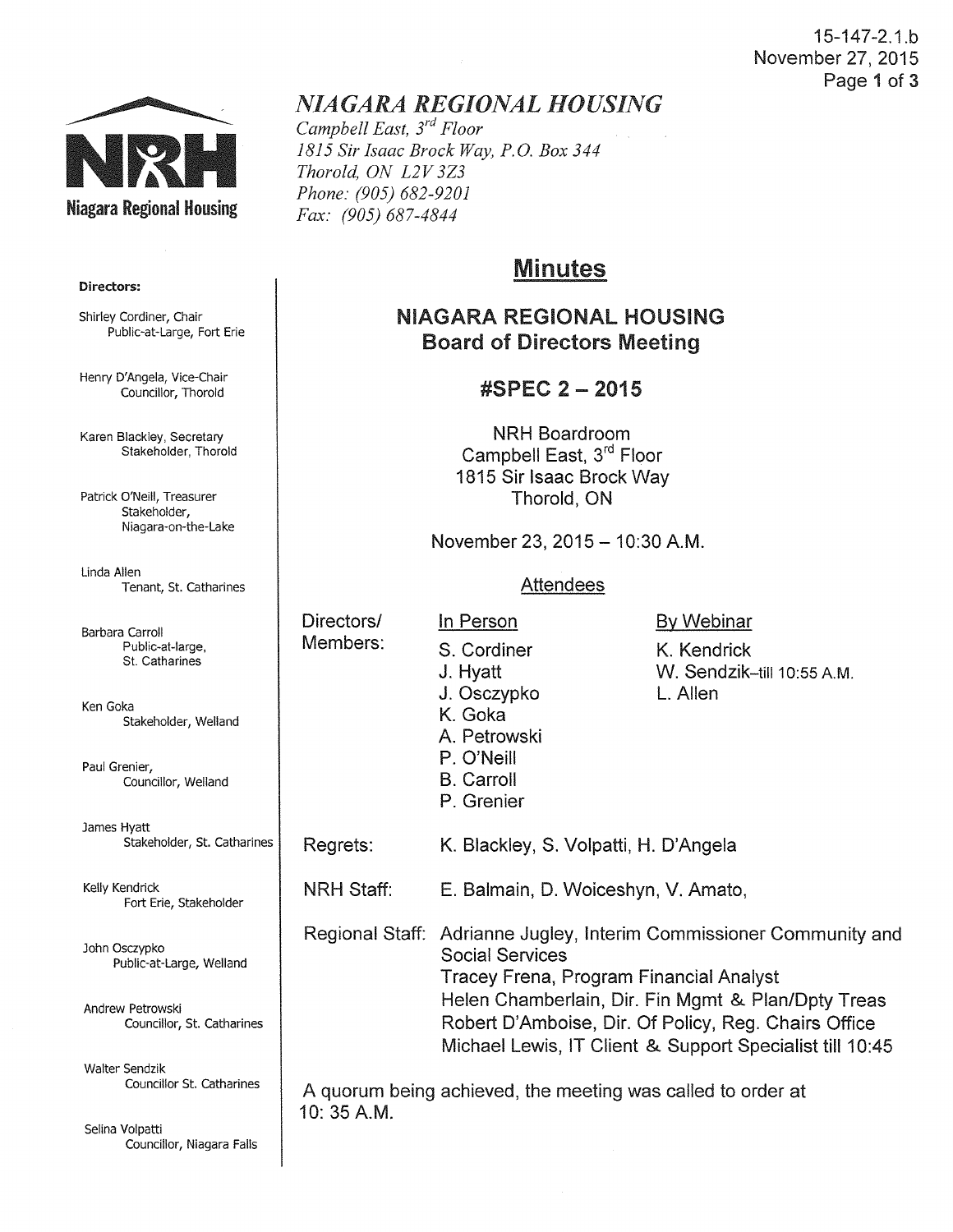#### 15-147-2.1.b November 27, 2015 Page 1 of 3



## Directors:

Shirley Cordiner, Chair Public-at-Large, Fort Erie

Henry D'Angela, Vice-Chair Councillor, Thorold

Karen Blackley, Secretary Stakeholder, Thorold

Patrick O'Neill, Treasurer Stakeholder, Niagara-on-the-Lake

Linda Allen Tenant, St. Catharines

Barbara Carroll Public-at-large, St. Catharines

Ken Goka Stakeholder, Weiland

Paul Grenier, Councillor, Weiland

James Hyatt Stakeholder, St. Catharines

Kelly Kendrick Fort Erie, Stakeholder

John Osczypko Public-at-Large, Weiland

Andrew Petrowski Councillor, St. Catharines

Walter Sendzik Councillor St. Catharines

Selina Volpatti Councillor, Niagara Falls

# *NIAGARA REGIONAL HOUSING*

*Campbell East, 3rd Floor 1815 Sir Isaac Brock Way, P.O. Box 344 Thorold, ON L2V 3Z3 Phone: (905) 682-9201 Fax: (905) 687-4844* 

# Minutes

## NIAGARA REGIONAL HOUSING Board of Directors Meeting

## #SPEC 2 - 2015

NRH Boardroom Campbell East, 3rd Floor 1815 Sir Isaac Brock Way Thorold, ON

November 23, 2015 - 10:30 A.M.

#### **Attendees**

Directors/ Members:

S. Cordiner J. Hyatt J. Osczypko K. Goka A. Petrowski P. O'Neill B. Carroll P. Grenier

In Person

By Webinar

K. Kendrick W. Sendzik-till 10:55 A.M. L. Allen

Regrets: K. Blackley, S. Volpatti, H. D'Angela

NRH Staff: E. Balmain, D. Woiceshyn, V. Amato,

Regional Staff: Adrianne Jugley, Interim Commissioner Community and Social Services Tracey Frena, Program Financial Analyst Helen Chamberlain, Dir. Fin Mgmt & Plan/Dpty Treas Robert D'Amboise, Dir. Of Policy, Reg. Chairs Office Michael Lewis, IT Client & Support Specialist till 10:45

A quorum being achieved, the meeting was called to order at 10: 35 A.M.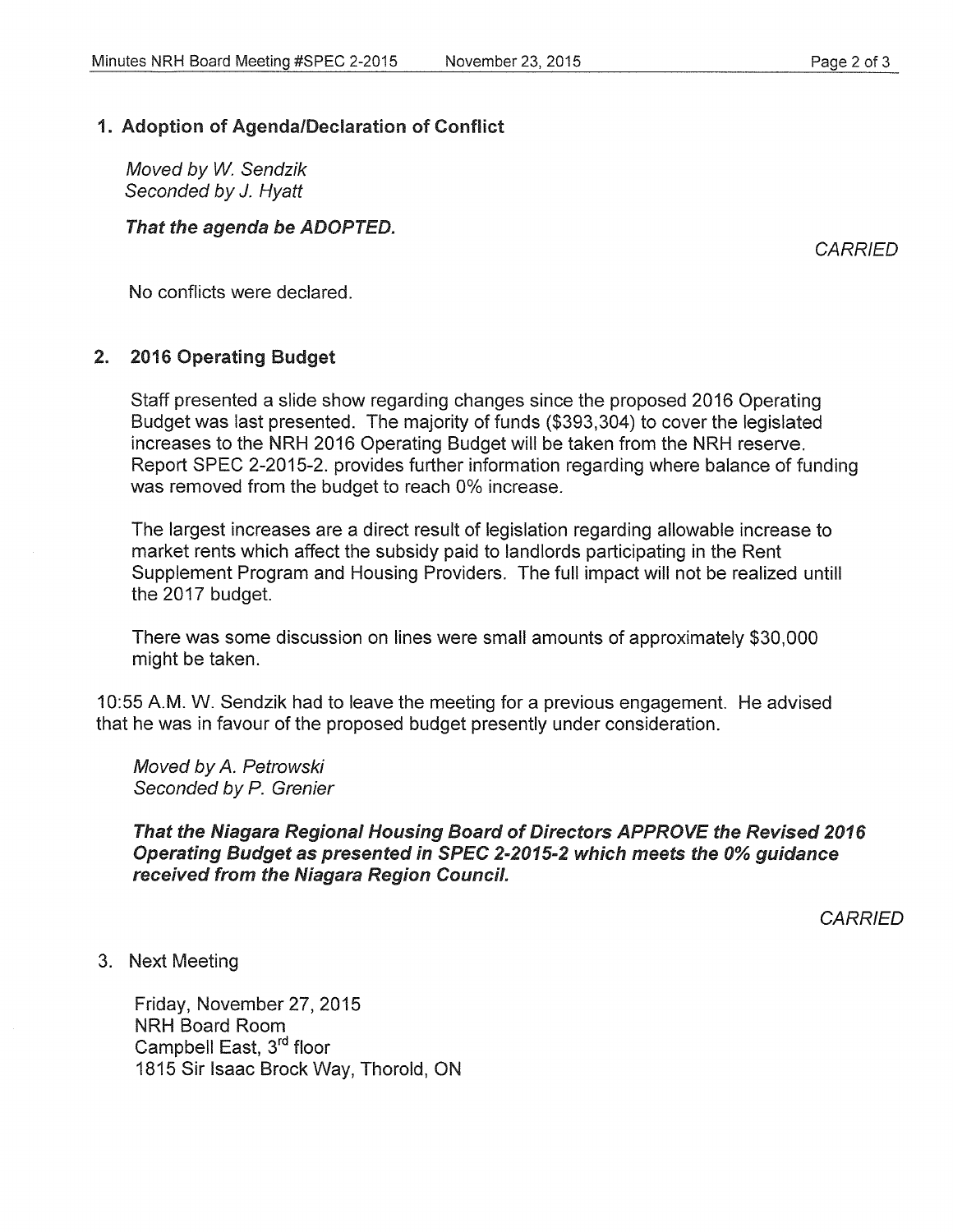### 1. Adoption of Agenda/Declaration of Conflict

Moved by W. Sendzik Seconded by J. Hyatt

#### That the agenda be ADOPTED.

**CARRIED** 

No conflicts were declared.

#### 2. 2016 Operating Budget

Staff presented a slide show regarding changes since the proposed 2016 Operating Budget was last presented. The majority of funds (\$393,304) to cover the legislated increases to the NRH 2016 Operating Budget will be taken from the NRH reserve. Report SPEC 2-2015-2. provides further information regarding where balance of funding was removed from the budget to reach 0% increase.

The largest increases are a direct result of legislation regarding allowable increase to market rents which affect the subsidy paid to landlords participating in the Rent Supplement Program and Housing Providers. The full impact will not be realized untill the 2017 budget.

There was some discussion on lines were small amounts of approximately \$30,000 might be taken.

10:55 A.M. W. Sendzik had to leave the meeting for a previous engagement. He advised that he was in favour of the proposed budget presently under consideration.

Moved by *A.* Petrowski Seconded by P. Grenier

#### That the Niagara Regional Housing Board of Directors APPROVE the Revised 2016 Operating Budget as presented in SPEC 2-2015-2 which meets the 0% guidance received from the Niagara Region Council.

**CARRIED** 

3. Next Meeting

Friday, November27,2015 NRH Board Room Campbell East, 3<sup>rd</sup> floor 1815 Sir Isaac Brock Way, Thorold, ON